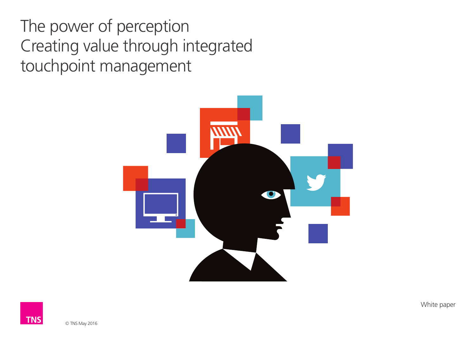The power of perception Creating value through integrated touchpoint management



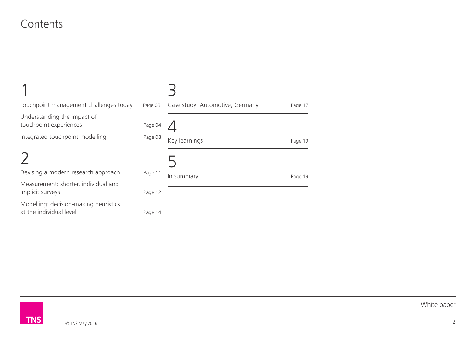#### **Contents**

| Touchpoint management challenges today                           | Page 03 | Case study: Automotive, Germany | Page 17 |
|------------------------------------------------------------------|---------|---------------------------------|---------|
| Understanding the impact of<br>touchpoint experiences            | Page 04 |                                 |         |
| Integrated touchpoint modelling                                  | Page 08 | Key learnings                   | Page 19 |
|                                                                  |         |                                 |         |
| Devising a modern research approach                              | Page 11 | In summary                      | Page 19 |
| Measurement: shorter, individual and<br>implicit surveys         | Page 12 |                                 |         |
| Modelling: decision-making heuristics<br>at the individual level | Page 14 |                                 |         |

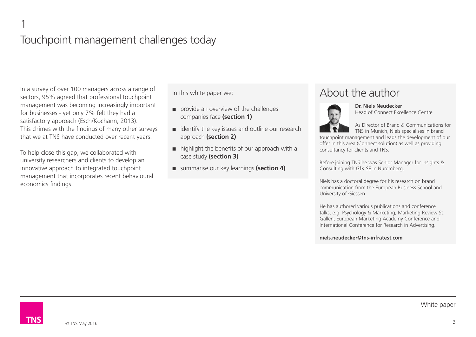#### 1 Touchpoint management challenges today

In a survey of over 100 managers across a range of sectors, 95% agreed that professional touchpoint management was becoming increasingly important for businesses - yet only 7% felt they had a satisfactory approach (Esch/Kochann, 2013). This chimes with the findings of many other surveys that we at TNS have conducted over recent years.

To help close this gap, we collaborated with university researchers and clients to develop an innovative approach to integrated touchpoint management that incorporates recent behavioural economics findings.

In this white paper we:

- provide an overview of the challenges companies face **(section 1)**
- identify the key issues and outline our research approach **(section 2)**
- highlight the benefits of our approach with a case study **(section 3)**
- summarise our key learnings (section 4)

#### About the author



**Dr. Niels Neudecker** Head of Connect Excellence Centre

As Director of Brand & Communications for TNS in Munich, Niels specialises in brand

touchpoint management and leads the development of our offer in this area (Connect solution) as well as providing consultancy for clients and TNS.

Before joining TNS he was Senior Manager for Insights & Consulting with GfK SE in Nuremberg.

Niels has a doctoral degree for his research on brand communication from the European Business School and University of Giessen.

He has authored various publications and conference talks, e.g. Psychology & Marketing, Marketing Review St. Gallen, European Marketing Academy Conference and International Conference for Research in Advertising.

**niels.neudecker@tns-infratest.com**

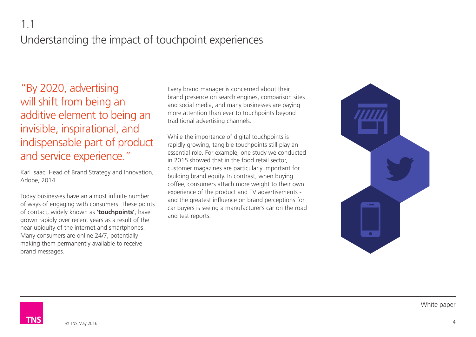#### 1.1

## Understanding the impact of touchpoint experiences

"By 2020, advertising will shift from being an additive element to being an invisible, inspirational, and indispensable part of product and service experience."

Karl Isaac, Head of Brand Strategy and Innovation, Adobe, 2014

Today businesses have an almost infinite number of ways of engaging with consumers. These points of contact, widely known as **'touchpoints'**, have grown rapidly over recent years as a result of the near-ubiquity of the internet and smartphones. Many consumers are online 24/7, potentially making them permanently available to receive brand messages.

Every brand manager is concerned about their brand presence on search engines, comparison sites and social media, and many businesses are paying more attention than ever to touchpoints beyond traditional advertising channels.

While the importance of digital touchpoints is rapidly growing, tangible touchpoints still play an essential role. For example, one study we conducted in 2015 showed that in the food retail sector, customer magazines are particularly important for building brand equity. In contrast, when buying coffee, consumers attach more weight to their own experience of the product and TV advertisements and the greatest influence on brand perceptions for car buyers is seeing a manufacturer's car on the road and test reports.



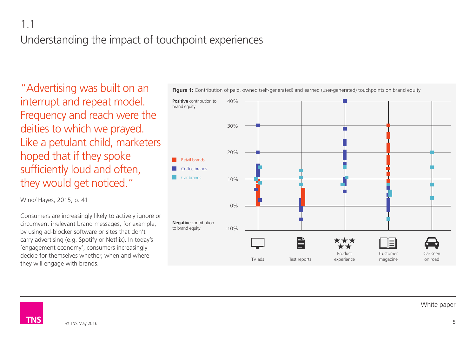#### 1.1

## Understanding the impact of touchpoint experiences

"Advertising was built on an interrupt and repeat model. Frequency and reach were the deities to which we prayed. Like a petulant child, marketers hoped that if they spoke sufficiently loud and often, they would get noticed."

Wind/ Hayes, 2015, p. 41

Consumers are increasingly likely to actively ignore or circumvent irrelevant brand messages, for example, by using ad-blocker software or sites that don't carry advertising (e.g. Spotify or Netflix). In today's 'engagement economy', consumers increasingly decide for themselves whether, when and where they will engage with brands.



Figure 1: Contribution of paid, owned (self-generated) and earned (user-generated) touchpoints on brand equity

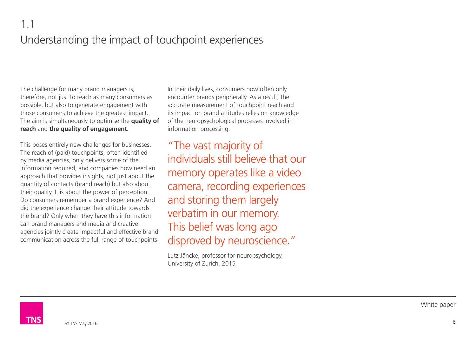The challenge for many brand managers is, therefore, not just to reach as many consumers as possible, but also to generate engagement with those consumers to achieve the greatest impact. The aim is simultaneously to optimise the **quality of reach** and **the quality of engagement.**

This poses entirely new challenges for businesses. The reach of (paid) touchpoints, often identified by media agencies, only delivers some of the information required, and companies now need an approach that provides insights, not just about the quantity of contacts (brand reach) but also about their quality. It is about the power of perception: Do consumers remember a brand experience? And did the experience change their attitude towards the brand? Only when they have this information can brand managers and media and creative agencies jointly create impactful and effective brand communication across the full range of touchpoints. In their daily lives, consumers now often only encounter brands peripherally. As a result, the accurate measurement of touchpoint reach and its impact on brand attitudes relies on knowledge of the neuropsychological processes involved in information processing.

"The vast majority of individuals still believe that our memory operates like a video camera, recording experiences and storing them largely verbatim in our memory. This belief was long ago disproved by neuroscience."

Lutz Jäncke, professor for neuropsychology, University of Zurich, 2015

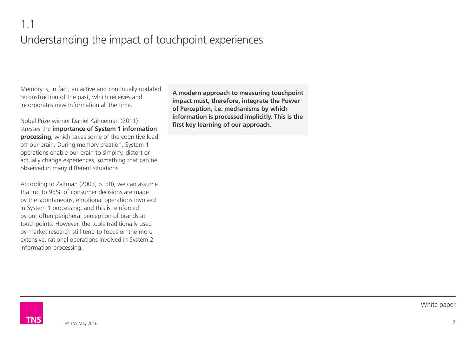Memory is, in fact, an active and continually updated reconstruction of the past, which receives and incorporates new information all the time.

Nobel Prize winner Daniel Kahneman (2011) stresses the **importance of System 1 information processing**, which takes some of the cognitive load off our brain. During memory creation, System 1 operations enable our brain to simplify, distort or actually change experiences, something that can be observed in many different situations.

According to Zaltman (2003, p. 50), we can assume that up to 95% of consumer decisions are made by the spontaneous, emotional operations involved in System 1 processing, and this is reinforced by our often peripheral perception of brands at touchpoints. However, the tools traditionally used by market research still tend to focus on the more extensive, rational operations involved in System 2 information processing.

**A modern approach to measuring touchpoint impact must, therefore, integrate the Power of Perception, i.e. mechanisms by which information is processed implicitly. This is the first key learning of our approach.**

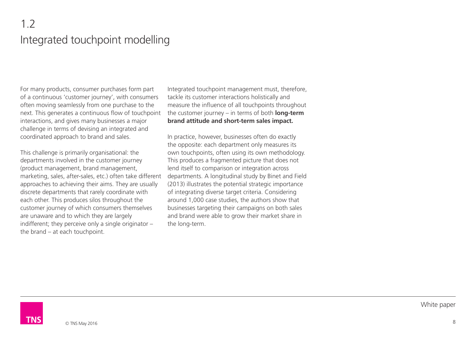## 1.2 Integrated touchpoint modelling

For many products, consumer purchases form part of a continuous 'customer journey', with consumers often moving seamlessly from one purchase to the next. This generates a continuous flow of touchpoint interactions, and gives many businesses a major challenge in terms of devising an integrated and coordinated approach to brand and sales.

This challenge is primarily organisational: the departments involved in the customer journey (product management, brand management, marketing, sales, after-sales, etc.) often take different approaches to achieving their aims. They are usually discrete departments that rarely coordinate with each other. This produces silos throughout the customer journey of which consumers themselves are unaware and to which they are largely indifferent; they perceive only a single originator – the brand – at each touchpoint.

Integrated touchpoint management must, therefore, tackle its customer interactions holistically and measure the influence of all touchpoints throughout the customer journey – in terms of both **long-term brand attitude and short-term sales impact.**

In practice, however, businesses often do exactly the opposite: each department only measures its own touchpoints, often using its own methodology. This produces a fragmented picture that does not lend itself to comparison or integration across departments. A longitudinal study by Binet and Field (2013) illustrates the potential strategic importance of integrating diverse target criteria. Considering around 1,000 case studies, the authors show that businesses targeting their campaigns on both sales and brand were able to grow their market share in the long-term.

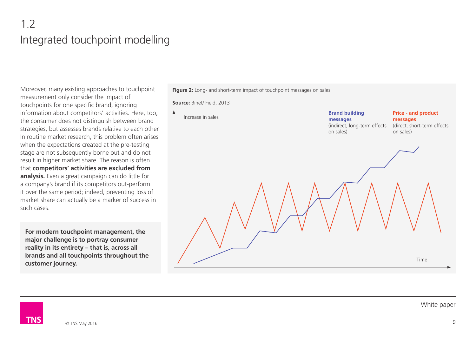# 1.2 Integrated touchpoint modelling

Moreover, many existing approaches to touchpoint measurement only consider the impact of touchpoints for one specific brand, ignoring information about competitors' activities. Here, too, the consumer does not distinguish between brand strategies, but assesses brands relative to each other. In routine market research, this problem often arises when the expectations created at the pre-testing stage are not subsequently borne out and do not result in higher market share. The reason is often that **competitors' activities are excluded from analysis.** Even a great campaign can do little for a company's brand if its competitors out-perform it over the same period; indeed, preventing loss of market share can actually be a marker of success in such cases.

**For modern touchpoint management, the major challenge is to portray consumer reality in its entirety – that is, across all brands and all touchpoints throughout the customer journey.**

Figure 2: Long- and short-term impact of touchpoint messages on sales.

**Source:** Binet/ Field, 2013



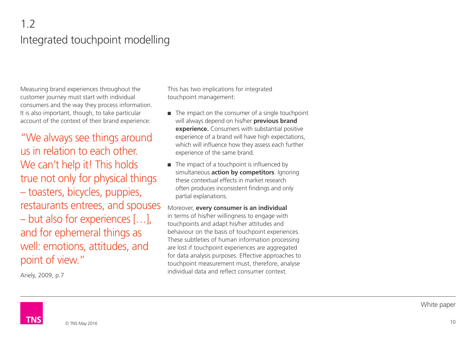# 1.2 Integrated touchpoint modelling

Measuring brand experiences throughout the customer journey must start with individual consumers and the way they process information. It is also important, though, to take particular account of the context of their brand experience:

"We always see things around us in relation to each other. We can't help it! This holds true not only for physical things – toasters, bicycles, puppies, restaurants entrees, and spouses – but also for experiences […], and for ephemeral things as well: emotions, attitudes, and point of view."

Ariely, 2009, p.7

This has two implications for integrated touchpoint management:

- The impact on the consumer of a single touchpoint will always depend on his/her **previous brand experience.** Consumers with substantial positive experience of a brand will have high expectations, which will influence how they assess each further experience of the same brand.
- The impact of a touchpoint is influenced by simultaneous **action by competitors**. Ignoring these contextual effects in market research often produces inconsistent findings and only partial explanations.

Moreover, **every consumer is an individual** in terms of his/her willingness to engage with touchpoints and adapt his/her attitudes and behaviour on the basis of touchpoint experiences. These subtleties of human information processing are lost if touchpoint experiences are aggregated for data analysis purposes. Effective approaches to touchpoint measurement must, therefore, analyse individual data and reflect consumer context.

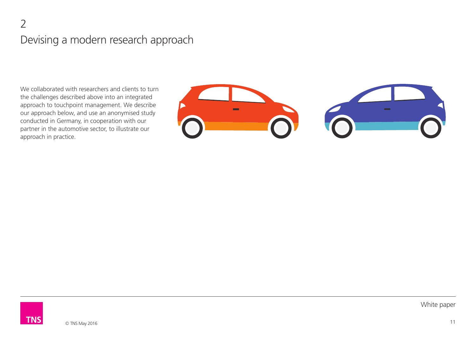## 2 Devising a modern research approach

We collaborated with researchers and clients to turn the challenges described above into an integrated approach to touchpoint management. We describe our approach below, and use an anonymised study conducted in Germany, in cooperation with our partner in the automotive sector, to illustrate our approach in practice.



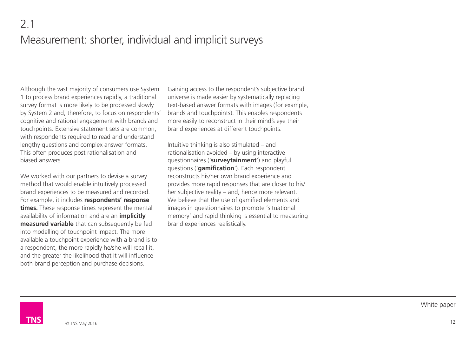## 2.1 Measurement: shorter, individual and implicit surveys

Although the vast majority of consumers use System 1 to process brand experiences rapidly, a traditional survey format is more likely to be processed slowly by System 2 and, therefore, to focus on respondents' cognitive and rational engagement with brands and touchpoints. Extensive statement sets are common, with respondents required to read and understand lengthy questions and complex answer formats. This often produces post rationalisation and biased answers.

We worked with our partners to devise a survey method that would enable intuitively processed brand experiences to be measured and recorded. For example, it includes **respondents' response times.** These response times represent the mental availability of information and are an **implicitly measured variable** that can subsequently be fed into modelling of touchpoint impact. The more available a touchpoint experience with a brand is to a respondent, the more rapidly he/she will recall it, and the greater the likelihood that it will influence both brand perception and purchase decisions.

Gaining access to the respondent's subjective brand universe is made easier by systematically replacing text-based answer formats with images (for example, brands and touchpoints). This enables respondents more easily to reconstruct in their mind's eye their brand experiences at different touchpoints.

Intuitive thinking is also stimulated – and rationalisation avoided – by using interactive questionnaires ('**surveytainment**') and playful questions ('**gamification**'). Each respondent reconstructs his/her own brand experience and provides more rapid responses that are closer to his/ her subjective reality – and, hence more relevant. We believe that the use of gamified elements and images in questionnaires to promote 'situational memory' and rapid thinking is essential to measuring brand experiences realistically.

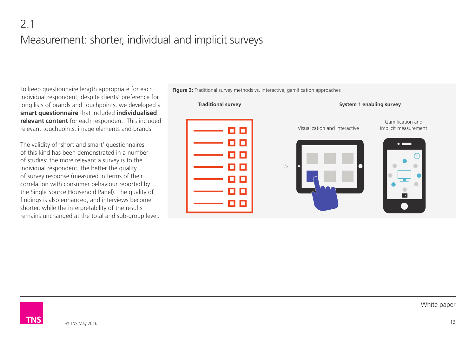To keep questionnaire length appropriate for each individual respondent, despite clients' preference for long lists of brands and touchpoints, we developed a **smart questionnaire** that included **individualised relevant content** for each respondent. This included relevant touchpoints, image elements and brands.

The validity of 'short and smart' questionnaires of this kind has been demonstrated in a number of studies: the more relevant a survey is to the individual respondent, the better the quality of survey response (measured in terms of their correlation with consumer behaviour reported by the Single Source Household Panel). The quality of findings is also enhanced, and interviews become shorter, while the interpretability of the results remains unchanged at the total and sub-group level. **Traditional survey** vs. **System 1 enabling survey** Visualization and interactive Gamification and implicit measurement

**Figure 3:** Traditional survey methods vs. interactive, gamification approaches

TN<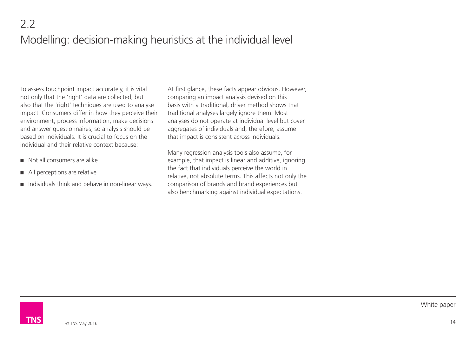# 2.2 Modelling: decision-making heuristics at the individual level

To assess touchpoint impact accurately, it is vital not only that the 'right' data are collected, but also that the 'right' techniques are used to analyse impact. Consumers differ in how they perceive their environment, process information, make decisions and answer questionnaires, so analysis should be based on individuals. It is crucial to focus on the individual and their relative context because:

- Not all consumers are alike
- All perceptions are relative
- Individuals think and behave in non-linear ways.

At first glance, these facts appear obvious. However, comparing an impact analysis devised on this basis with a traditional, driver method shows that traditional analyses largely ignore them. Most analyses do not operate at individual level but cover aggregates of individuals and, therefore, assume that impact is consistent across individuals.

Many regression analysis tools also assume, for example, that impact is linear and additive, ignoring the fact that individuals perceive the world in relative, not absolute terms. This affects not only the comparison of brands and brand experiences but also benchmarking against individual expectations.

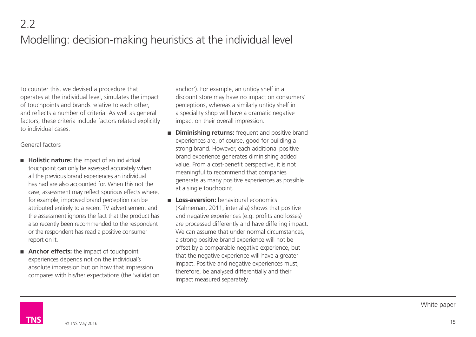To counter this, we devised a procedure that operates at the individual level, simulates the impact of touchpoints and brands relative to each other, and reflects a number of criteria. As well as general factors, these criteria include factors related explicitly to individual cases.

#### General factors

- **Holistic nature:** the impact of an individual touchpoint can only be assessed accurately when all the previous brand experiences an individual has had are also accounted for. When this not the case, assessment may reflect spurious effects where, for example, improved brand perception can be attributed entirely to a recent TV advertisement and the assessment ignores the fact that the product has also recently been recommended to the respondent or the respondent has read a positive consumer report on it.
- **Anchor effects:** the impact of touchpoint experiences depends not on the individual's absolute impression but on how that impression compares with his/her expectations (the 'validation

anchor'). For example, an untidy shelf in a discount store may have no impact on consumers' perceptions, whereas a similarly untidy shelf in a speciality shop will have a dramatic negative impact on their overall impression.

- **Diminishing returns:** frequent and positive brand experiences are, of course, good for building a strong brand. However, each additional positive brand experience generates diminishing added value. From a cost-benefit perspective, it is not meaningful to recommend that companies generate as many positive experiences as possible at a single touchpoint.
- **Loss-aversion:** behavioural economics (Kahneman, 2011, inter alia) shows that positive and negative experiences (e.g. profits and losses) are processed differently and have differing impact. We can assume that under normal circumstances. a strong positive brand experience will not be offset by a comparable negative experience, but that the negative experience will have a greater impact. Positive and negative experiences must, therefore, be analysed differentially and their impact measured separately.

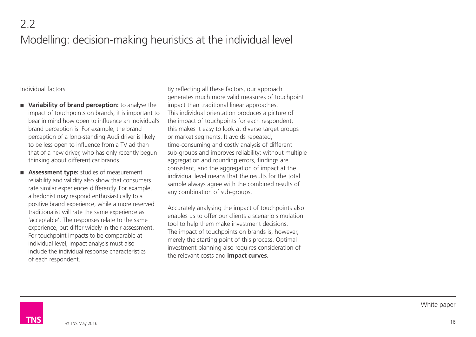# 2.2 Modelling: decision-making heuristics at the individual level

#### Individual factors

- Variability of brand perception: to analyse the impact of touchpoints on brands, it is important to bear in mind how open to influence an individual's brand perception is. For example, the brand perception of a long-standing Audi driver is likely to be less open to influence from a TV ad than that of a new driver, who has only recently begun thinking about different car brands.
- **Assessment type:** studies of measurement reliability and validity also show that consumers rate similar experiences differently. For example, a hedonist may respond enthusiastically to a positive brand experience, while a more reserved traditionalist will rate the same experience as 'acceptable'. The responses relate to the same experience, but differ widely in their assessment. For touchpoint impacts to be comparable at individual level, impact analysis must also include the individual response characteristics of each respondent.

By reflecting all these factors, our approach generates much more valid measures of touchpoint impact than traditional linear approaches. This individual orientation produces a picture of the impact of touchpoints for each respondent; this makes it easy to look at diverse target groups or market segments. It avoids repeated, time-consuming and costly analysis of different sub-groups and improves reliability: without multiple aggregation and rounding errors, findings are consistent, and the aggregation of impact at the individual level means that the results for the total sample always agree with the combined results of any combination of sub-groups.

Accurately analysing the impact of touchpoints also enables us to offer our clients a scenario simulation tool to help them make investment decisions. The impact of touchpoints on brands is, however, merely the starting point of this process. Optimal investment planning also requires consideration of the relevant costs and **impact curves.** 

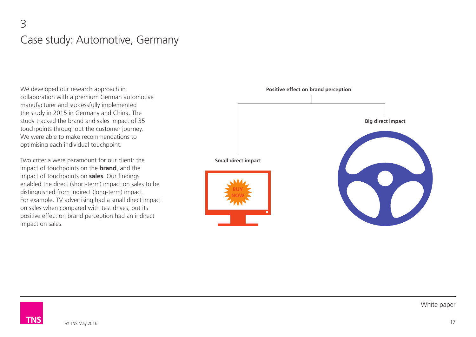#### 3 Case study: Automotive, Germany

We developed our research approach in collaboration with a premium German automotive manufacturer and successfully implemented the study in 2015 in Germany and China. The study tracked the brand and sales impact of 35 touchpoints throughout the customer journey. We were able to make recommendations to optimising each individual touchpoint.

Two criteria were paramount for our client: the impact of touchpoints on the **brand**, and the impact of touchpoints on **sales**. Our findings enabled the direct (short-term) impact on sales to be distinguished from indirect (long-term) impact. For example, TV advertising had a small direct impact on sales when compared with test drives, but its positive effect on brand perception had an indirect impact on sales.



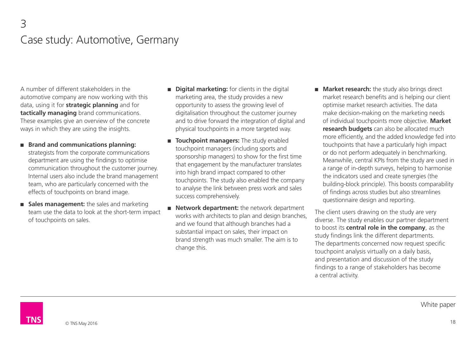#### 3 Case study: Automotive, Germany

A number of different stakeholders in the automotive company are now working with this data, using it for **strategic planning** and for **tactically managing** brand communications. These examples give an overview of the concrete ways in which they are using the insights.

- **Brand and communications planning:** strategists from the corporate communications department are using the findings to optimise communication throughout the customer journey. Internal users also include the brand management team, who are particularly concerned with the effects of touchpoints on brand image.
- **Sales management:** the sales and marketing team use the data to look at the short-term impact of touchpoints on sales.
- **Digital marketing:** for clients in the digital marketing area, the study provides a new opportunity to assess the growing level of digitalisation throughout the customer journey and to drive forward the integration of digital and physical touchpoints in a more targeted way.
- **Touchpoint managers:** The study enabled touchpoint managers (including sports and sponsorship managers) to show for the first time that engagement by the manufacturer translates into high brand impact compared to other touchpoints. The study also enabled the company to analyse the link between press work and sales success comprehensively.
- **Network department:** the network department works with architects to plan and design branches, and we found that although branches had a substantial impact on sales, their impact on brand strength was much smaller. The aim is to change this.
- **Market research:** the study also brings direct market research benefits and is helping our client optimise market research activities. The data make decision-making on the marketing needs of individual touchpoints more objective. **Market research budgets** can also be allocated much more efficiently, and the added knowledge fed into touchpoints that have a particularly high impact or do not perform adequately in benchmarking. Meanwhile, central KPIs from the study are used in a range of in-depth surveys, helping to harmonise the indicators used and create synergies (the building-block principle). This boosts comparability of findings across studies but also streamlines questionnaire design and reporting.

The client users drawing on the study are very diverse. The study enables our partner department to boost its **central role in the company**, as the study findings link the different departments. The departments concerned now request specific touchpoint analysis virtually on a daily basis, and presentation and discussion of the study findings to a range of stakeholders has become a central activity.

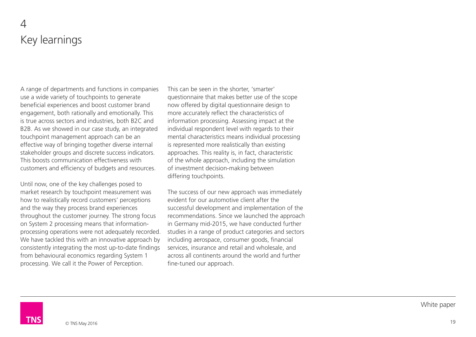## $\Delta$ Key learnings

A range of departments and functions in companies use a wide variety of touchpoints to generate beneficial experiences and boost customer brand engagement, both rationally and emotionally. This is true across sectors and industries, both B2C and B2B. As we showed in our case study, an integrated touchpoint management approach can be an effective way of bringing together diverse internal stakeholder groups and discrete success indicators. This boosts communication effectiveness with customers and efficiency of budgets and resources.

Until now, one of the key challenges posed to market research by touchpoint measurement was how to realistically record customers' perceptions and the way they process brand experiences throughout the customer journey. The strong focus on System 2 processing means that informationprocessing operations were not adequately recorded. We have tackled this with an innovative approach by consistently integrating the most up-to-date findings from behavioural economics regarding System 1 processing. We call it the Power of Perception.

This can be seen in the shorter, 'smarter' questionnaire that makes better use of the scope now offered by digital questionnaire design to more accurately reflect the characteristics of information processing. Assessing impact at the individual respondent level with regards to their mental characteristics means individual processing is represented more realistically than existing approaches. This reality is, in fact, characteristic of the whole approach, including the simulation of investment decision-making between differing touchpoints.

The success of our new approach was immediately evident for our automotive client after the successful development and implementation of the recommendations. Since we launched the approach in Germany mid-2015, we have conducted further studies in a range of product categories and sectors including aerospace, consumer goods, financial services, insurance and retail and wholesale, and across all continents around the world and further fine-tuned our approach.